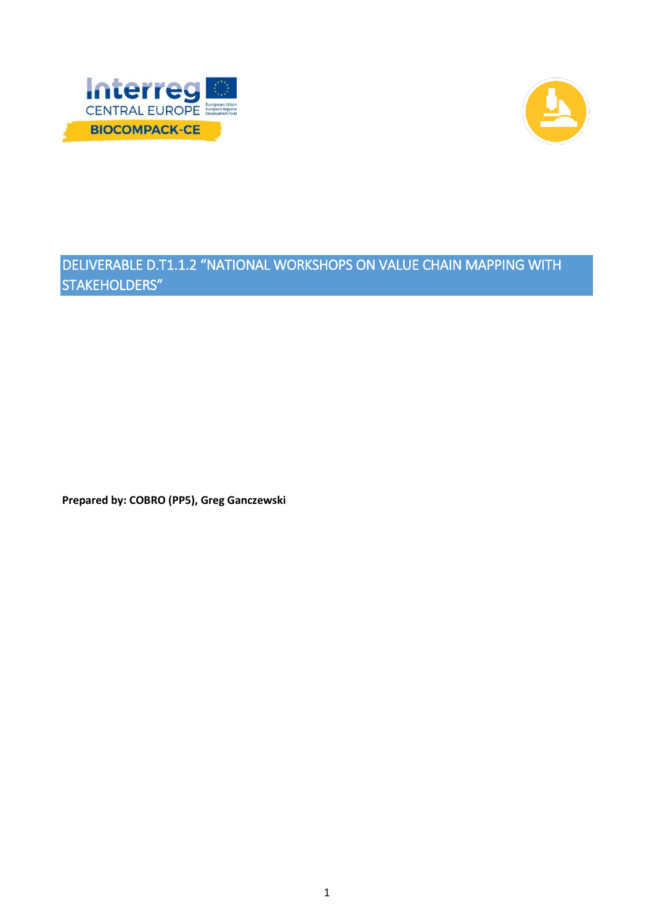



# DELIVERABLE D.T1.1.2 "NATIONAL WORKSHOPS ON VALUE CHAIN MAPPING WITH STAKEHOLDERS"

**Prepared by: COBRO (PP5), Greg Ganczewski**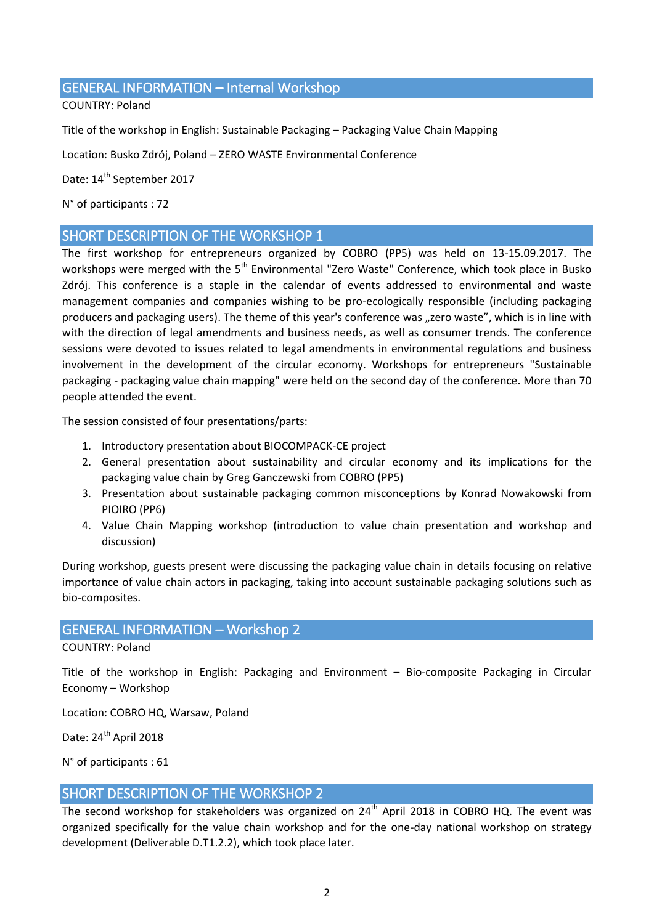## GENERAL INFORMATION – Internal Workshop

COUNTRY: Poland

Title of the workshop in English: Sustainable Packaging – Packaging Value Chain Mapping

Location: Busko Zdrój, Poland – ZERO WASTE Environmental Conference

Date: 14<sup>th</sup> September 2017

N° of participants : 72

## SHORT DESCRIPTION OF THE WORKSHOP 1

The first workshop for entrepreneurs organized by COBRO (PP5) was held on 13-15.09.2017. The workshops were merged with the 5<sup>th</sup> Environmental "Zero Waste" Conference, which took place in Busko Zdrój. This conference is a staple in the calendar of events addressed to environmental and waste management companies and companies wishing to be pro-ecologically responsible (including packaging producers and packaging users). The theme of this year's conference was "zero waste", which is in line with with the direction of legal amendments and business needs, as well as consumer trends. The conference sessions were devoted to issues related to legal amendments in environmental regulations and business involvement in the development of the circular economy. Workshops for entrepreneurs "Sustainable packaging - packaging value chain mapping" were held on the second day of the conference. More than 70 people attended the event.

The session consisted of four presentations/parts:

- 1. Introductory presentation about BIOCOMPACK-CE project
- 2. General presentation about sustainability and circular economy and its implications for the packaging value chain by Greg Ganczewski from COBRO (PP5)
- 3. Presentation about sustainable packaging common misconceptions by Konrad Nowakowski from PIOIRO (PP6)
- 4. Value Chain Mapping workshop (introduction to value chain presentation and workshop and discussion)

During workshop, guests present were discussing the packaging value chain in details focusing on relative importance of value chain actors in packaging, taking into account sustainable packaging solutions such as bio-composites.

## GENERAL INFORMATION – Workshop 2

COUNTRY: Poland

Title of the workshop in English: Packaging and Environment – Bio-composite Packaging in Circular Economy – Workshop

Location: COBRO HQ, Warsaw, Poland

Date: 24<sup>th</sup> April 2018

N° of participants : 61

## SHORT DESCRIPTION OF THE WORKSHOP 2

The second workshop for stakeholders was organized on 24<sup>th</sup> April 2018 in COBRO HQ. The event was organized specifically for the value chain workshop and for the one-day national workshop on strategy development (Deliverable D.T1.2.2), which took place later.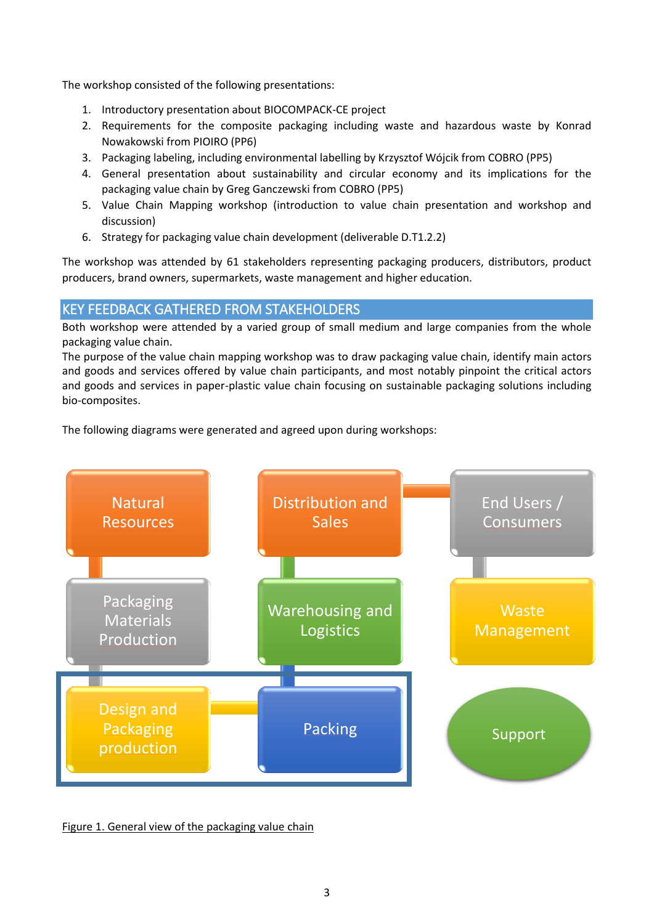The workshop consisted of the following presentations:

- 1. Introductory presentation about BIOCOMPACK-CE project
- 2. Requirements for the composite packaging including waste and hazardous waste by Konrad Nowakowski from PIOIRO (PP6)
- 3. Packaging labeling, including environmental labelling by Krzysztof Wójcik from COBRO (PP5)
- 4. General presentation about sustainability and circular economy and its implications for the packaging value chain by Greg Ganczewski from COBRO (PP5)
- 5. Value Chain Mapping workshop (introduction to value chain presentation and workshop and discussion)
- 6. Strategy for packaging value chain development (deliverable D.T1.2.2)

The workshop was attended by 61 stakeholders representing packaging producers, distributors, product producers, brand owners, supermarkets, waste management and higher education.

# KEY FEEDBACK GATHERED FROM STAKEHOLDERS

Both workshop were attended by a varied group of small medium and large companies from the whole packaging value chain.

The purpose of the value chain mapping workshop was to draw packaging value chain, identify main actors and goods and services offered by value chain participants, and most notably pinpoint the critical actors and goods and services in paper-plastic value chain focusing on sustainable packaging solutions including bio-composites.

The following diagrams were generated and agreed upon during workshops:



Figure 1. General view of the packaging value chain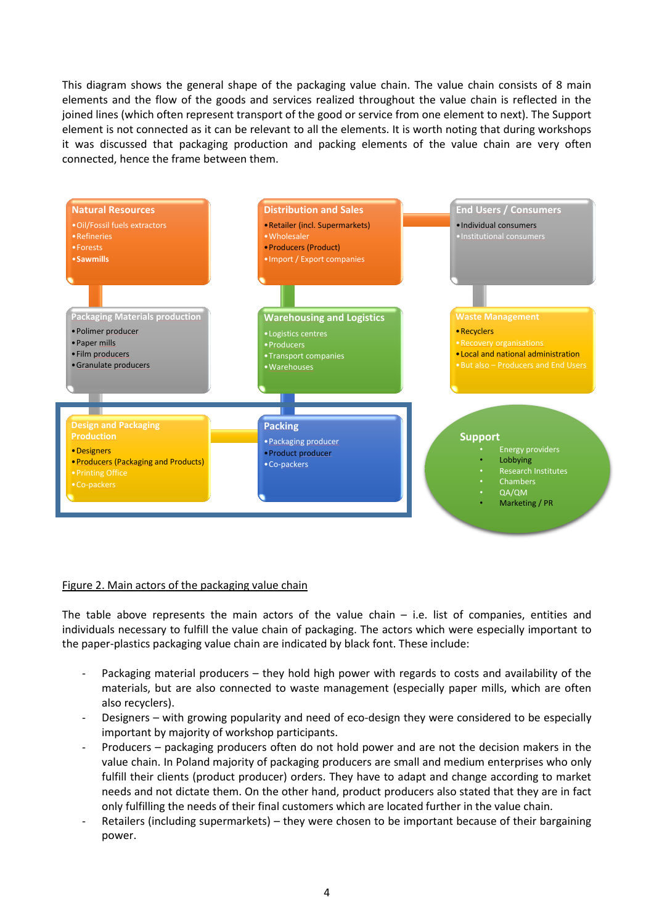This diagram shows the general shape of the packaging value chain. The value chain consists of 8 main elements and the flow of the goods and services realized throughout the value chain is reflected in the joined lines (which often represent transport of the good or service from one element to next). The Support element is not connected as it can be relevant to all the elements. It is worth noting that during workshops it was discussed that packaging production and packing elements of the value chain are very often connected, hence the frame between them.



#### Figure 2. Main actors of the packaging value chain

The table above represents the main actors of the value chain  $-$  i.e. list of companies, entities and individuals necessary to fulfill the value chain of packaging. The actors which were especially important to the paper-plastics packaging value chain are indicated by black font. These include:

- Packaging material producers they hold high power with regards to costs and availability of the materials, but are also connected to waste management (especially paper mills, which are often also recyclers).
- Designers with growing popularity and need of eco-design they were considered to be especially important by majority of workshop participants.
- Producers packaging producers often do not hold power and are not the decision makers in the value chain. In Poland majority of packaging producers are small and medium enterprises who only fulfill their clients (product producer) orders. They have to adapt and change according to market needs and not dictate them. On the other hand, product producers also stated that they are in fact only fulfilling the needs of their final customers which are located further in the value chain.
- Retailers (including supermarkets) they were chosen to be important because of their bargaining power.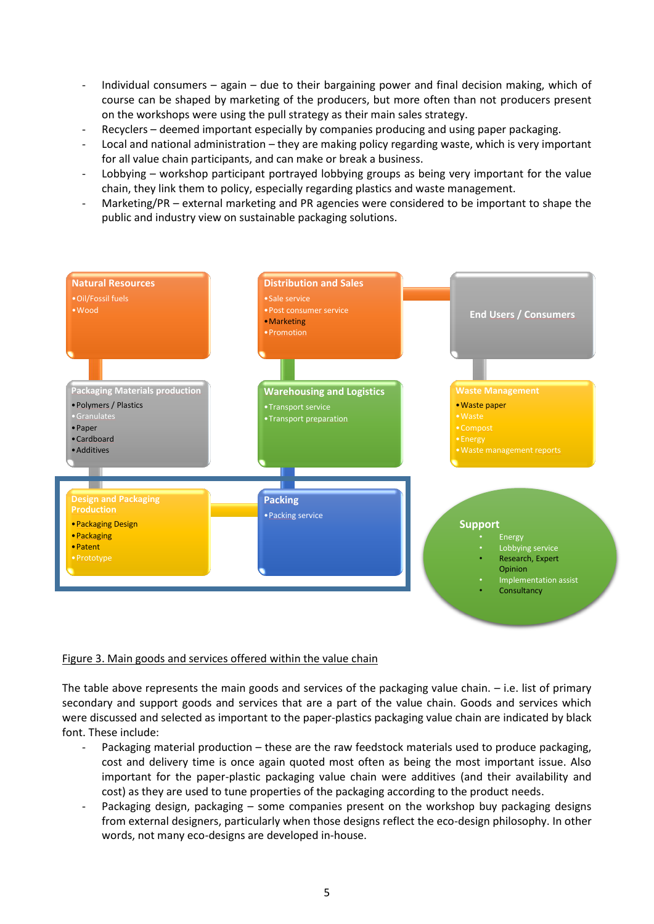- Individual consumers again due to their bargaining power and final decision making, which of course can be shaped by marketing of the producers, but more often than not producers present on the workshops were using the pull strategy as their main sales strategy.
- Recyclers deemed important especially by companies producing and using paper packaging.
- Local and national administration they are making policy regarding waste, which is very important for all value chain participants, and can make or break a business.
- Lobbying workshop participant portrayed lobbying groups as being very important for the value chain, they link them to policy, especially regarding plastics and waste management.
- Marketing/PR external marketing and PR agencies were considered to be important to shape the public and industry view on sustainable packaging solutions.



#### Figure 3. Main goods and services offered within the value chain

The table above represents the main goods and services of the packaging value chain. – i.e. list of primary secondary and support goods and services that are a part of the value chain. Goods and services which were discussed and selected as important to the paper-plastics packaging value chain are indicated by black font. These include:

- Packaging material production these are the raw feedstock materials used to produce packaging, cost and delivery time is once again quoted most often as being the most important issue. Also important for the paper-plastic packaging value chain were additives (and their availability and cost) as they are used to tune properties of the packaging according to the product needs.
- Packaging design, packaging some companies present on the workshop buy packaging designs from external designers, particularly when those designs reflect the eco-design philosophy. In other words, not many eco-designs are developed in-house.